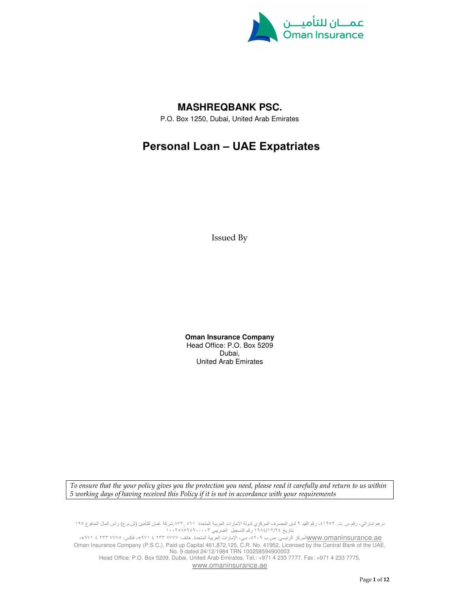

# **MASHREQBANK PSC.**

P.O. Box 1250, Dubai, United Arab Emirates

# Personal Loan – UAE Expatriates

Issued By

**Oman Insurance Company**  Head Office: P.O. Box 5209 Dubai, United Arab Emirates

To ensure that the your policy gives you the protection you need, please read it carefully and return to us within 5 working days of having received this Policy if it is not in accordance with your requirements

درهم إماراتي، رقم س. ت. ٤١٩٥٢، رقم القيد ٩ لدى المصرف المركزي لدولة الامارات العربية المتحدة ٤٦١ ,٨٧٢,شركة عُمان للتأمين (ش.م.ع) رأس المال المدفوع ١٢٥ بتاريخ ٢٤/ ١٢/ ١٩٨٤ رقم التسجيل الضريبي ١٠٠٢٥٨٥٩٤٩٠٠٠٠٣

www.omaninsurance.aeالمركز الرئيسي: ص.ب ٥٢٠٩، دبي، الإمارات العربية المتحدة. هاتف: ٧٧٧٧ ٢ ٤ ٢٣٣ ١٧٧٧ فاكس: ٢٣٣ ٧٧٧ ٤ ٩٧١١، Oman Insurance Company (P.S.C.), Paid up Capital 461,872,125, C.R. No. 41952, Licensed by the Central Bank of the UAE, No. 9 dated 24/12/1984 TRN 100258594900003

Head Office: P.O. Box 5209, Dubai, United Arab Emirates, Tel.: +971 4 233 7777, Fax: +971 4 233 7775, www.omaninsurance.ae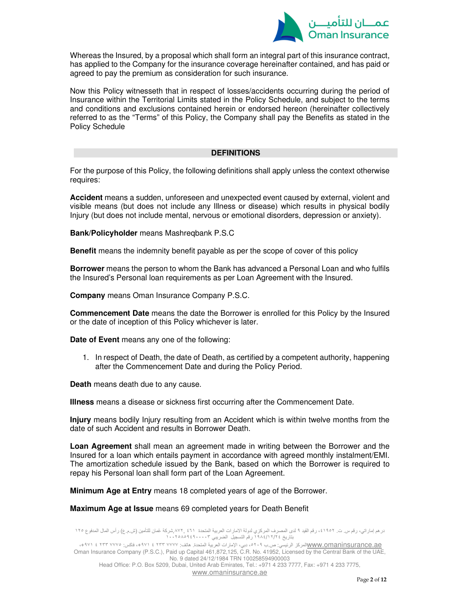

Whereas the Insured, by a proposal which shall form an integral part of this insurance contract, has applied to the Company for the insurance coverage hereinafter contained, and has paid or agreed to pay the premium as consideration for such insurance.

Now this Policy witnesseth that in respect of losses/accidents occurring during the period of Insurance within the Territorial Limits stated in the Policy Schedule, and subject to the terms and conditions and exclusions contained herein or endorsed hereon (hereinafter collectively referred to as the "Terms" of this Policy, the Company shall pay the Benefits as stated in the Policy Schedule

# **DEFINITIONS**

For the purpose of this Policy, the following definitions shall apply unless the context otherwise requires:

**Accident** means a sudden, unforeseen and unexpected event caused by external, violent and visible means (but does not include any Illness or disease) which results in physical bodily Injury (but does not include mental, nervous or emotional disorders, depression or anxiety).

**Bank/Policyholder** means Mashreqbank P.S.C

**Benefit** means the indemnity benefit payable as per the scope of cover of this policy

**Borrower** means the person to whom the Bank has advanced a Personal Loan and who fulfils the Insured's Personal loan requirements as per Loan Agreement with the Insured.

**Company** means Oman Insurance Company P.S.C.

**Commencement Date** means the date the Borrower is enrolled for this Policy by the Insured or the date of inception of this Policy whichever is later.

**Date of Event** means any one of the following:

1. In respect of Death, the date of Death, as certified by a competent authority, happening after the Commencement Date and during the Policy Period.

**Death** means death due to any cause.

**Illness** means a disease or sickness first occurring after the Commencement Date.

**Injury** means bodily Injury resulting from an Accident which is within twelve months from the date of such Accident and results in Borrower Death.

**Loan Agreement** shall mean an agreement made in writing between the Borrower and the Insured for a loan which entails payment in accordance with agreed monthly instalment/EMI. The amortization schedule issued by the Bank, based on which the Borrower is required to repay his Personal loan shall form part of the Loan Agreement.

**Minimum Age at Entry** means 18 completed years of age of the Borrower.

#### **Maximum Age at Issue** means 69 completed years for Death Benefit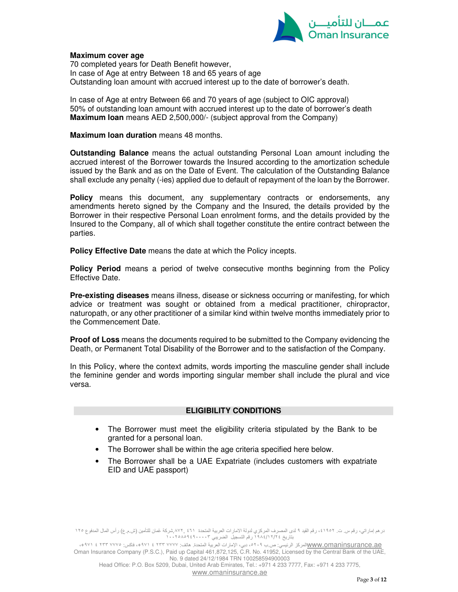

# **Maximum cover age**

70 completed years for Death Benefit however, In case of Age at entry Between 18 and 65 years of age Outstanding loan amount with accrued interest up to the date of borrower's death.

In case of Age at entry Between 66 and 70 years of age (subject to OIC approval) 50% of outstanding loan amount with accrued interest up to the date of borrower's death **Maximum loan** means AED 2,500,000/- (subject approval from the Company)

**Maximum loan duration** means 48 months.

**Outstanding Balance** means the actual outstanding Personal Loan amount including the accrued interest of the Borrower towards the Insured according to the amortization schedule issued by the Bank and as on the Date of Event. The calculation of the Outstanding Balance shall exclude any penalty (-ies) applied due to default of repayment of the loan by the Borrower.

**Policy** means this document, any supplementary contracts or endorsements, any amendments hereto signed by the Company and the Insured, the details provided by the Borrower in their respective Personal Loan enrolment forms, and the details provided by the Insured to the Company, all of which shall together constitute the entire contract between the parties.

**Policy Effective Date** means the date at which the Policy incepts.

**Policy Period** means a period of twelve consecutive months beginning from the Policy Effective Date.

**Pre-existing diseases** means illness, disease or sickness occurring or manifesting, for which advice or treatment was sought or obtained from a medical practitioner, chiropractor, naturopath, or any other practitioner of a similar kind within twelve months immediately prior to the Commencement Date.

**Proof of Loss** means the documents required to be submitted to the Company evidencing the Death, or Permanent Total Disability of the Borrower and to the satisfaction of the Company.

In this Policy, where the context admits, words importing the masculine gender shall include the feminine gender and words importing singular member shall include the plural and vice versa.

# **ELIGIBILITY CONDITIONS**

- The Borrower must meet the eligibility criteria stipulated by the Bank to be granted for a personal loan.
- The Borrower shall be within the age criteria specified here below.
- The Borrower shall be a UAE Expatriate (includes customers with expatriate EID and UAE passport)

درهم إماراتي، رقم س. ت. ،٤١٩٥٢ رقم القيد ٩ لدى المصرف المركزي لدولة الامارات العربية المتحدة ٤٦١ ,٨٧٢,شركة عُمان للتأمين (ش.م.ع) رأس المال المدفوع ١٢٥ بتاريخ ٢٤/ ١٢/ ١٩٨٤ رقم التسجيل الضريبي ١٠٠٢٥٨٥٩٤٩٠٠٠٠٣

<u>WWW.omaninsurance.ae المركز الرئيسي: ص.ب ٥</u>٢٠٩، دبي، الإمارات العربية المتحدة. هاتف: ٧٧٧٧ ٢٣٣ ٤ /٩٧١ المسموع بالمتحدة المتحدة بالمتحدة المتحدة المتحدة المتحدة المتحدة المتحدة المتحدة المتحدة المتحدة المتحدة المتحدة المتح Oman Insurance Company (P.S.C.), Paid up Capital 461,872,125, C.R. No. 41952, Licensed by the Central Bank of the UAE, No. 9 dated 24/12/1984 TRN 100258594900003

Head Office: P.O. Box 5209, Dubai, United Arab Emirates, Tel.: +971 4 233 7777, Fax: +971 4 233 7775, www.omaninsurance.ae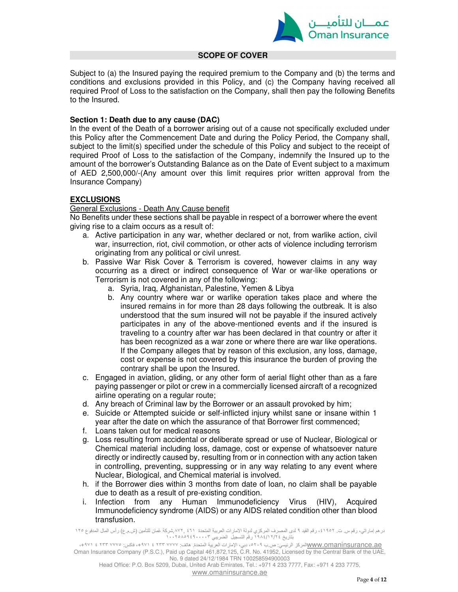

#### **SCOPE OF COVER**

Subject to (a) the Insured paying the required premium to the Company and (b) the terms and conditions and exclusions provided in this Policy, and (c) the Company having received all required Proof of Loss to the satisfaction on the Company, shall then pay the following Benefits to the Insured.

# **Section 1: Death due to any cause (DAC)**

In the event of the Death of a borrower arising out of a cause not specifically excluded under this Policy after the Commencement Date and during the Policy Period, the Company shall, subject to the limit(s) specified under the schedule of this Policy and subject to the receipt of required Proof of Loss to the satisfaction of the Company, indemnify the Insured up to the amount of the borrower's Outstanding Balance as on the Date of Event subject to a maximum of AED 2,500,000/-(Any amount over this limit requires prior written approval from the Insurance Company)

# **EXCLUSIONS**

#### General Exclusions - Death Any Cause benefit

No Benefits under these sections shall be payable in respect of a borrower where the event giving rise to a claim occurs as a result of:

- a. Active participation in any war, whether declared or not, from warlike action, civil war, insurrection, riot, civil commotion, or other acts of violence including terrorism originating from any political or civil unrest.
- b. Passive War Risk Cover & Terrorism is covered, however claims in any way occurring as a direct or indirect consequence of War or war-like operations or Terrorism is not covered in any of the following:
	- a. Syria, Iraq, Afghanistan, Palestine, Yemen & Libya
	- b. Any country where war or warlike operation takes place and where the insured remains in for more than 28 days following the outbreak. It is also understood that the sum insured will not be payable if the insured actively participates in any of the above-mentioned events and if the insured is traveling to a country after war has been declared in that country or after it has been recognized as a war zone or where there are war like operations. If the Company alleges that by reason of this exclusion, any loss, damage, cost or expense is not covered by this insurance the burden of proving the contrary shall be upon the Insured.
- c. Engaged in aviation, gliding, or any other form of aerial flight other than as a fare paying passenger or pilot or crew in a commercially licensed aircraft of a recognized airline operating on a regular route;
- d. Any breach of Criminal law by the Borrower or an assault provoked by him;
- e. Suicide or Attempted suicide or self-inflicted injury whilst sane or insane within 1 year after the date on which the assurance of that Borrower first commenced;
- f. Loans taken out for medical reasons
- g. Loss resulting from accidental or deliberate spread or use of Nuclear, Biological or Chemical material including loss, damage, cost or expense of whatsoever nature directly or indirectly caused by, resulting from or in connection with any action taken in controlling, preventing, suppressing or in any way relating to any event where Nuclear, Biological, and Chemical material is involved.
- h. if the Borrower dies within 3 months from date of loan, no claim shall be payable due to death as a result of pre-existing condition.
- i. Infection from any Human Immunodeficiency Virus (HIV), Acquired Immunodeficiency syndrome (AIDS) or any AIDS related condition other than blood transfusion.

درهم إماراتي، رقم س. ت. ٤١٩٥٢، رقم القيد ٩ لدى المصرف المركزي لدولة الامارات العربية المتحدة ٤٦١، ب٨٧٢,شركة عُمان للتأمين (ش.م.ع) رأس المال المدفوع ١٢٥ بتاريخ ٢٤/ ١٢/ ١٩٨٤ رقم التسجيل الضريبي ١٠٠٢٥٨٥٩٤٩٠٠٠٠٣

<u>WWW.omaninsurance.ae المركز الرئيسي: ص.ب ٥</u>٢٠٩، دبي، الإمارات العربية المتحدة. هاتف: ٧٧٧٧ ٢٣٣ ٤ /٩٧١ المسموع بالمتحدة المتحدة بالمتحدة المتحدة المتحدة المتحدة المتحدة المتحدة المتحدة المتحدة المتحدة المتحدة المتحدة المتح Oman Insurance Company (P.S.C.), Paid up Capital 461,872,125, C.R. No. 41952, Licensed by the Central Bank of the UAE, No. 9 dated 24/12/1984 TRN 100258594900003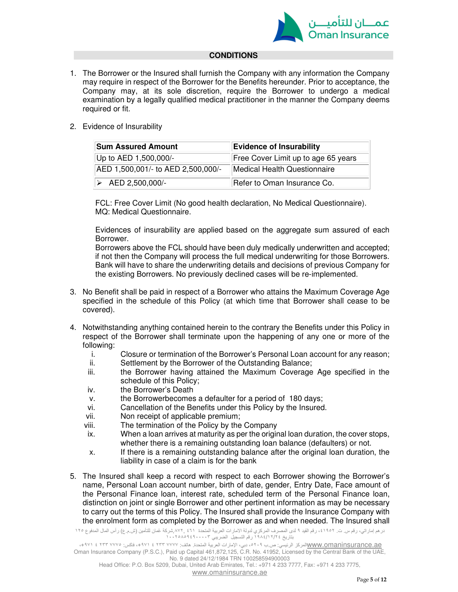

# **CONDITIONS**

1. The Borrower or the Insured shall furnish the Company with any information the Company may require in respect of the Borrower for the Benefits hereunder. Prior to acceptance, the Company may, at its sole discretion, require the Borrower to undergo a medical examination by a legally qualified medical practitioner in the manner the Company deems required or fit.

# 2. Evidence of Insurability

| <b>Sum Assured Amount</b>          | <b>Evidence of Insurability</b>     |  |
|------------------------------------|-------------------------------------|--|
| Up to AED 1,500,000/-              | Free Cover Limit up to age 65 years |  |
| AED 1,500,001/- to AED 2,500,000/- | Medical Health Questionnaire        |  |
| $\triangleright$ AED 2,500,000/-   | Refer to Oman Insurance Co.         |  |

FCL: Free Cover Limit (No good health declaration, No Medical Questionnaire). MQ: Medical Questionnaire.

Evidences of insurability are applied based on the aggregate sum assured of each Borrower.

Borrowers above the FCL should have been duly medically underwritten and accepted; if not then the Company will process the full medical underwriting for those Borrowers. Bank will have to share the underwriting details and decisions of previous Company for the existing Borrowers. No previously declined cases will be re-implemented.

- 3. No Benefit shall be paid in respect of a Borrower who attains the Maximum Coverage Age specified in the schedule of this Policy (at which time that Borrower shall cease to be covered).
- 4. Notwithstanding anything contained herein to the contrary the Benefits under this Policy in respect of the Borrower shall terminate upon the happening of any one or more of the following:
	- i. Closure or termination of the Borrower's Personal Loan account for any reason;<br>ii. Settlement by the Borrower of the Outstanding Balance:
	- Settlement by the Borrower of the Outstanding Balance;
	- iii. the Borrower having attained the Maximum Coverage Age specified in the schedule of this Policy;
	- iv. the Borrower's Death
	- v. the Borrowerbecomes a defaulter for a period of 180 days;
	- vi. Cancellation of the Benefits under this Policy by the Insured.
	- vii. Non receipt of applicable premium;
	- viii. The termination of the Policy by the Company
	- ix. When a loan arrives at maturity as per the original loan duration, the cover stops, whether there is a remaining outstanding loan balance (defaulters) or not.
	- x. If there is a remaining outstanding balance after the original loan duration, the liability in case of a claim is for the bank
- 5. The Insured shall keep a record with respect to each Borrower showing the Borrower's name, Personal Loan account number, birth of date, gender, Entry Date, Face amount of the Personal Finance loan, interest rate, scheduled term of the Personal Finance loan, distinction on joint or single Borrower and other pertinent information as may be necessary to carry out the terms of this Policy. The Insured shall provide the Insurance Company with the enrolment form as completed by the Borrower as and when needed. The Insured shall

درهم إماراتي، رقم س. ت. ،٤١٩٥٢ رقم القيد ٩ لدى المصرف المركزي لدولة الامارات العربية المتحدة ٤٦١ ,٨٧٢,شركة عُمان للتأمين (ش.م.ع) رأس المال المدفوع ١٢٥ بتاريخ ٢٤/ ١٢/ ١٩٨٤ رقم التسجيل الضريبي ١٠٠٢٥٨٥٩٤٩٠٠٠٠٣

<u>WWW.omaninsurance.ae المركز الرئيسي: ص.ب ٥</u>٢٠٩، دبي، الإمارات العربية المتحدة. هاتف: ٧٧٧٧ ٢٣٣ ٤ /٩٧١ المسموع بالمتحدة المتحدة بالمتحدة المتحدة المتحدة المتحدة المتحدة المتحدة المتحدة المتحدة المتحدة المتحدة المتحدة المتح Oman Insurance Company (P.S.C.), Paid up Capital 461,872,125, C.R. No. 41952, Licensed by the Central Bank of the UAE, No. 9 dated 24/12/1984 TRN 100258594900003 Head Office: P.O. Box 5209, Dubai, United Arab Emirates, Tel.: +971 4 233 7777, Fax: +971 4 233 7775,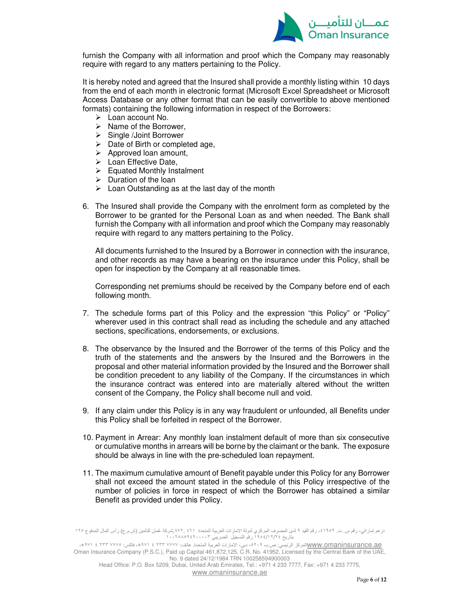

furnish the Company with all information and proof which the Company may reasonably require with regard to any matters pertaining to the Policy.

It is hereby noted and agreed that the Insured shall provide a monthly listing within 10 days from the end of each month in electronic format (Microsoft Excel Spreadsheet or Microsoft Access Database or any other format that can be easily convertible to above mentioned formats) containing the following information in respect of the Borrowers:

- Loan account No.
- $\triangleright$  Name of the Borrower.
- ▶ Single /Joint Borrower
- $\triangleright$  Date of Birth or completed age,
- $\triangleright$  Approved loan amount,
- $\triangleright$  Loan Effective Date.
- $\triangleright$  Equated Monthly Instalment
- $\triangleright$  Duration of the loan
- $\triangleright$  Loan Outstanding as at the last day of the month
- 6. The Insured shall provide the Company with the enrolment form as completed by the Borrower to be granted for the Personal Loan as and when needed. The Bank shall furnish the Company with all information and proof which the Company may reasonably require with regard to any matters pertaining to the Policy.

All documents furnished to the Insured by a Borrower in connection with the insurance, and other records as may have a bearing on the insurance under this Policy, shall be open for inspection by the Company at all reasonable times.

Corresponding net premiums should be received by the Company before end of each following month.

- 7. The schedule forms part of this Policy and the expression "this Policy" or "Policy" wherever used in this contract shall read as including the schedule and any attached sections, specifications, endorsements, or exclusions.
- 8. The observance by the Insured and the Borrower of the terms of this Policy and the truth of the statements and the answers by the Insured and the Borrowers in the proposal and other material information provided by the Insured and the Borrower shall be condition precedent to any liability of the Company. If the circumstances in which the insurance contract was entered into are materially altered without the written consent of the Company, the Policy shall become null and void.
- 9. If any claim under this Policy is in any way fraudulent or unfounded, all Benefits under this Policy shall be forfeited in respect of the Borrower.
- 10. Payment in Arrear: Any monthly loan instalment default of more than six consecutive or cumulative months in arrears will be borne by the claimant or the bank. The exposure should be always in line with the pre-scheduled loan repayment.
- 11. The maximum cumulative amount of Benefit payable under this Policy for any Borrower shall not exceed the amount stated in the schedule of this Policy irrespective of the number of policies in force in respect of which the Borrower has obtained a similar Benefit as provided under this Policy.

درهم إماراتي، رقم س. ت. ٤١٩٥٢، رقم القيد ٩ لدى المصرف المركزي لدولة الامارات العربية المتحدة ٤٦١، ب٨٧٢,شركة عُمان للتأمين (ش.م.ع) رأس المال المدفوع ١٢٥ بتاريخ ٢٤/ ١٢/ ١٩٨٤ رقم التسجيل الضريبي ١٠٠٢٥٨٥٩٤٩٠٠٠٠٣

<u>WWW.omaninsurance.ae المركز الرئيسي: ص.ب ٥</u>٢٠٩، دبي، الإمارات العربية المتحدة. هاتف: ٧٧٧٧ ٢٣٣ ٤ /٩٧١ المسموع بالمتحدة المتحدة بالمتحدة المتحدة المتحدة المتحدة المتحدة المتحدة المتحدة المتحدة المتحدة المتحدة المتحدة المتح Oman Insurance Company (P.S.C.), Paid up Capital 461,872,125, C.R. No. 41952, Licensed by the Central Bank of the UAE, No. 9 dated 24/12/1984 TRN 100258594900003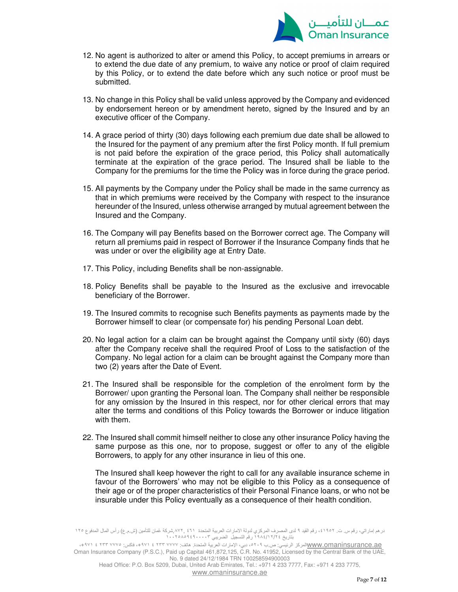

- 12. No agent is authorized to alter or amend this Policy, to accept premiums in arrears or to extend the due date of any premium, to waive any notice or proof of claim required by this Policy, or to extend the date before which any such notice or proof must be submitted.
- 13. No change in this Policy shall be valid unless approved by the Company and evidenced by endorsement hereon or by amendment hereto, signed by the Insured and by an executive officer of the Company.
- 14. A grace period of thirty (30) days following each premium due date shall be allowed to the Insured for the payment of any premium after the first Policy month. If full premium is not paid before the expiration of the grace period, this Policy shall automatically terminate at the expiration of the grace period. The Insured shall be liable to the Company for the premiums for the time the Policy was in force during the grace period.
- 15. All payments by the Company under the Policy shall be made in the same currency as that in which premiums were received by the Company with respect to the insurance hereunder of the Insured, unless otherwise arranged by mutual agreement between the Insured and the Company.
- 16. The Company will pay Benefits based on the Borrower correct age. The Company will return all premiums paid in respect of Borrower if the Insurance Company finds that he was under or over the eligibility age at Entry Date.
- 17. This Policy, including Benefits shall be non-assignable.
- 18. Policy Benefits shall be payable to the Insured as the exclusive and irrevocable beneficiary of the Borrower.
- 19. The Insured commits to recognise such Benefits payments as payments made by the Borrower himself to clear (or compensate for) his pending Personal Loan debt.
- 20. No legal action for a claim can be brought against the Company until sixty (60) days after the Company receive shall the required Proof of Loss to the satisfaction of the Company. No legal action for a claim can be brought against the Company more than two (2) years after the Date of Event.
- 21. The Insured shall be responsible for the completion of the enrolment form by the Borrower/ upon granting the Personal loan. The Company shall neither be responsible for any omission by the Insured in this respect, nor for other clerical errors that may alter the terms and conditions of this Policy towards the Borrower or induce litigation with them.
- 22. The Insured shall commit himself neither to close any other insurance Policy having the same purpose as this one, nor to propose, suggest or offer to any of the eligible Borrowers, to apply for any other insurance in lieu of this one.

The Insured shall keep however the right to call for any available insurance scheme in favour of the Borrowers' who may not be eligible to this Policy as a consequence of their age or of the proper characteristics of their Personal Finance loans, or who not be insurable under this Policy eventually as a consequence of their health condition.

درهم إماراتي، رقم س. ت. ٤١٩٥٢، رقم القيد ٩ لدى المصرف المركزي لدولة الامارات العربية المتحدة ٤٦١، ب٨٧٢,شركة عُمان للتأمين (ش.م.ع) رأس المال المدفوع ١٢٥ بتاريخ ٢٤/ ١٢/ ١٩٨٤ رقم التسجيل الضريبي ١٠٠٢٥٨٥٩٤٩٠٠٠٠٣

<u>WWW.omaninsurance.ae المركز الرئيسي: ص.ب ٥</u>٢٠٩، دبي، الإمارات العربية المتحدة. هاتف: ٧٧٧٧ ٢٣٣ ٤ /٩٧١ المسموع بالمتحدة المتحدة بالمتحدة المتحدة المتحدة المتحدة المتحدة المتحدة المتحدة المتحدة المتحدة المتحدة المتحدة المتح Oman Insurance Company (P.S.C.), Paid up Capital 461,872,125, C.R. No. 41952, Licensed by the Central Bank of the UAE, No. 9 dated 24/12/1984 TRN 100258594900003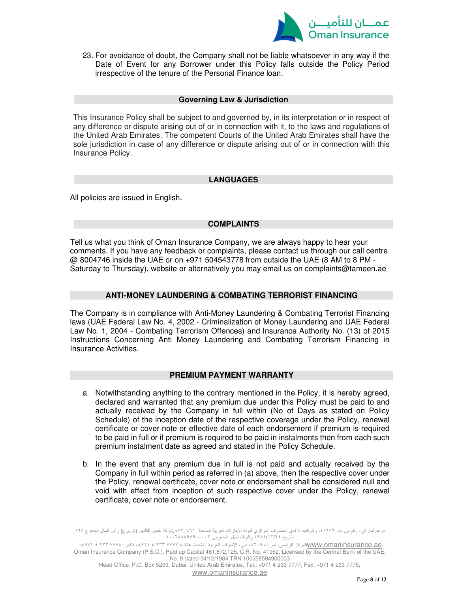

23. For avoidance of doubt, the Company shall not be liable whatsoever in any way if the Date of Event for any Borrower under this Policy falls outside the Policy Period irrespective of the tenure of the Personal Finance loan.

#### **Governing Law & Jurisdiction**

This Insurance Policy shall be subject to and governed by, in its interpretation or in respect of any difference or dispute arising out of or in connection with it, to the laws and regulations of the United Arab Emirates. The competent Courts of the United Arab Emirates shall have the sole jurisdiction in case of any difference or dispute arising out of or in connection with this Insurance Policy.

# **LANGUAGES**

All policies are issued in English.

# **COMPLAINTS**

Tell us what you think of Oman Insurance Company, we are always happy to hear your comments. If you have any feedback or complaints, please contact us through our call centre @ 8004746 inside the UAE or on +971 504543778 from outside the UAE (8 AM to 8 PM - Saturday to Thursday), website or alternatively you may email us on complaints@tameen.ae

# **ANTI-MONEY LAUNDERING & COMBATING TERRORIST FINANCING**

The Company is in compliance with Anti-Money Laundering & Combating Terrorist Financing laws (UAE Federal Law No. 4, 2002 - Criminalization of Money Laundering and UAE Federal Law No. 1, 2004 - Combating Terrorism Offences) and Insurance Authority No. (13) of 2015 Instructions Concerning Anti Money Laundering and Combating Terrorism Financing in Insurance Activities.

#### **PREMIUM PAYMENT WARRANTY**

- a. Notwithstanding anything to the contrary mentioned in the Policy, it is hereby agreed, declared and warranted that any premium due under this Policy must be paid to and actually received by the Company in full within (No of Days as stated on Policy Schedule) of the inception date of the respective coverage under the Policy, renewal certificate or cover note or effective date of each endorsement if premium is required to be paid in full or if premium is required to be paid in instalments then from each such premium instalment date as agreed and stated in the Policy Schedule.
- b. In the event that any premium due in full is not paid and actually received by the Company in full within period as referred in (a) above, then the respective cover under the Policy, renewal certificate, cover note or endorsement shall be considered null and void with effect from inception of such respective cover under the Policy, renewal certificate, cover note or endorsement.

درهم إماراتي، رقم س. ت. ٤١٩٥٢، رقم القيد ٩ لدى المصرف المركزي لدولة الامارات العربية المتحدة ٤٦١ ,٨٧٢,شركة عُمان للتأمين (ش.م.ع) رأس المال المدفوع ١٢٥ بتاريخ ٢٤/ ١٢/ ١٩٨٤ رقم التسجيل الضريبي ١٠٠٢٥٨٥٩٤٩٠٠٠٠٣

ع <u>www.omaninsurance.aeال</u>مركز الرئيسي: ص.ب ٥٢٠٩ دبي، الإمارات العربية المتحدة. هاتف: ٧٧٧٧ تا ٤ ٢٣٣ ١٧٧٧ فاكس: ٢٢٣ ٧٧٧٥ م. Oman Insurance Company (P.S.C.), Paid up Capital 461,872,125, C.R. No. 41952, Licensed by the Central Bank of the UAE, No. 9 dated 24/12/1984 TRN 100258594900003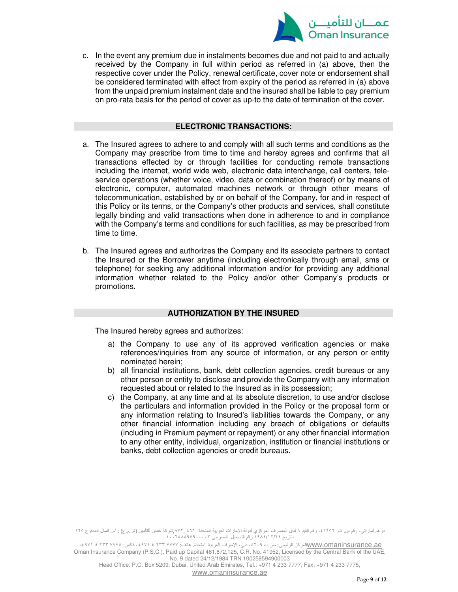

c. In the event any premium due in instalments becomes due and not paid to and actually received by the Company in full within period as referred in (a) above, then the respective cover under the Policy, renewal certificate, cover note or endorsement shall be considered terminated with effect from expiry of the period as referred in (a) above from the unpaid premium instalment date and the insured shall be liable to pay premium on pro-rata basis for the period of cover as up-to the date of termination of the cover.

#### **ELECTRONIC TRANSACTIONS:**

- a. The Insured agrees to adhere to and comply with all such terms and conditions as the Company may prescribe from time to time and hereby agrees and confirms that all transactions effected by or through facilities for conducting remote transactions including the internet, world wide web, electronic data interchange, call centers, teleservice operations (whether voice, video, data or combination thereof) or by means of electronic, computer, automated machines network or through other means of telecommunication, established by or on behalf of the Company, for and in respect of this Policy or its terms, or the Company's other products and services, shall constitute legally binding and valid transactions when done in adherence to and in compliance with the Company's terms and conditions for such facilities, as may be prescribed from time to time.
- b. The Insured agrees and authorizes the Company and its associate partners to contact the Insured or the Borrower anytime (including electronically through email, sms or telephone) for seeking any additional information and/or for providing any additional information whether related to the Policy and/or other Company's products or promotions.

# **AUTHORIZATION BY THE INSURED**

The Insured hereby agrees and authorizes:

- a) the Company to use any of its approved verification agencies or make references/inquiries from any source of information, or any person or entity nominated herein;
- b) all financial institutions, bank, debt collection agencies, credit bureaus or any other person or entity to disclose and provide the Company with any information requested about or related to the Insured as in its possession;
- c) the Company, at any time and at its absolute discretion, to use and/or disclose the particulars and information provided in the Policy or the proposal form or any information relating to Insured's liabilities towards the Company, or any other financial information including any breach of obligations or defaults (including in Premium payment or repayment) or any other financial information to any other entity, individual, organization, institution or financial institutions or banks, debt collection agencies or credit bureaus.

درهم إماراتي، رقم س. ت. ٤١٩٥٢، رقم القيد ٩ لدى المصرف المركزي لدولة الامارات العربية المتحدة ٤٦١ ,٨٧٢,شركة عُمان للتأمين (ش.م.ع) رأس المال المدفوع ١٢٥ بتاريخ ٢٤/ ١٢/ ١٩٨٤ رقم التسجيل الضريبي ١٠٠٢٥٨٥٩٤٩٠٠٠٠٣

<u>WWW.omaninsurance.ae المركز الرئيسي: ص.ب ٥</u>٢٠٩، دبي، الإمارات العربية المتحدة. هاتف: ٧٧٧٧ ٢٣٣ ٤ /٩٧١ المسموع بالمتحدة المتحدة بالمتحدة المتحدة المتحدة المتحدة المتحدة المتحدة المتحدة المتحدة المتحدة المتحدة المتحدة المتح Oman Insurance Company (P.S.C.), Paid up Capital 461,872,125, C.R. No. 41952, Licensed by the Central Bank of the UAE, No. 9 dated 24/12/1984 TRN 100258594900003

Head Office: P.O. Box 5209, Dubai, United Arab Emirates, Tel.: +971 4 233 7777, Fax: +971 4 233 7775,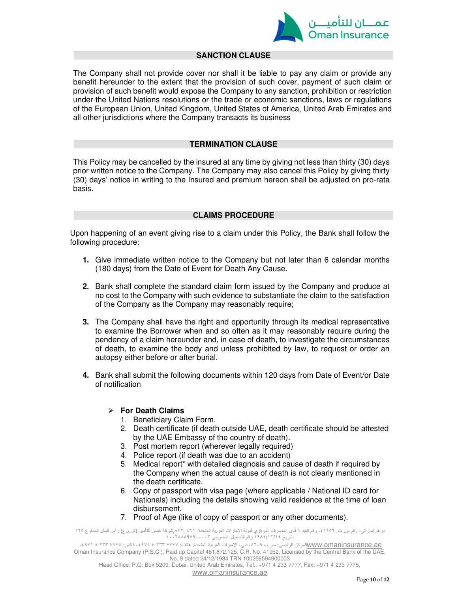

#### **SANCTION CLAUSE**

The Company shall not provide cover nor shall it be liable to pay any claim or provide any benefit hereunder to the extent that the provision of such cover, payment of such claim or provision of such benefit would expose the Company to any sanction, prohibition or restriction under the United Nations resolutions or the trade or economic sanctions, laws or regulations of the European Union, United Kingdom, United States of America, United Arab Emirates and all other jurisdictions where the Company transacts its business

# **TERMINATION CLAUSE**

This Policy may be cancelled by the insured at any time by giving not less than thirty (30) days prior written notice to the Company. The Company may also cancel this Policy by giving thirty (30) days' notice in writing to the Insured and premium hereon shall be adjusted on pro-rata basis.

#### **CLAIMS PROCEDURE**

Upon happening of an event giving rise to a claim under this Policy, the Bank shall follow the following procedure:

- **1.** Give immediate written notice to the Company but not later than 6 calendar months (180 days) from the Date of Event for Death Any Cause.
- **2.** Bank shall complete the standard claim form issued by the Company and produce at no cost to the Company with such evidence to substantiate the claim to the satisfaction of the Company as the Company may reasonably require;
- **3.** The Company shall have the right and opportunity through its medical representative to examine the Borrower when and so often as it may reasonably require during the pendency of a claim hereunder and, in case of death, to investigate the circumstances of death, to examine the body and unless prohibited by law, to request or order an autopsy either before or after burial.
- **4.** Bank shall submit the following documents within 120 days from Date of Event/or Date of notification

#### **For Death Claims**

- 1. Beneficiary Claim Form.
- 2. Death certificate (if death outside UAE, death certificate should be attested by the UAE Embassy of the country of death).
- 3. Post mortem report (wherever legally required)
- 4. Police report (if death was due to an accident)
- 5. Medical report\* with detailed diagnosis and cause of death if required by the Company when the actual cause of death is not clearly mentioned in the death certificate.
- 6. Copy of passport with visa page (where applicable / National ID card for Nationals) including the details showing valid residence at the time of loan disbursement.
- 7. Proof of Age (like of copy of passport or any other documents).

درهم إماراتي، رقم س. ت. ،٤١٩٥٢ رقم القيد ٩ لدى المصرف المركزي لدولة الامارات العربية المتحدة ٤٦١ ,٨٧٢,شركة عُمان للتأمين (ش.م.ع) رأس المال المدفوع ١٢٥ بتاريخ ٢٤/ ١٢/ ١٩٨٤ رقم التسجيل الضريبي ١٠٠٢٥٨٥٩٤٩٠٠٠٠٣

ع <u>www.omaninsurance.aeال</u>مركز الرئيسي: ص.ب ٥٢٠٩ دبي، الإمارات العربية المتحدة. هاتف: ٧٧٧٧ تا ٤ ٢٣٣ ١٧٧٧ فاكس: ٢٢٣ ٧٧٧٥ م. Oman Insurance Company (P.S.C.), Paid up Capital 461,872,125, C.R. No. 41952, Licensed by the Central Bank of the UAE, No. 9 dated 24/12/1984 TRN 100258594900003 Head Office: P.O. Box 5209, Dubai, United Arab Emirates, Tel.: +971 4 233 7777, Fax: +971 4 233 7775,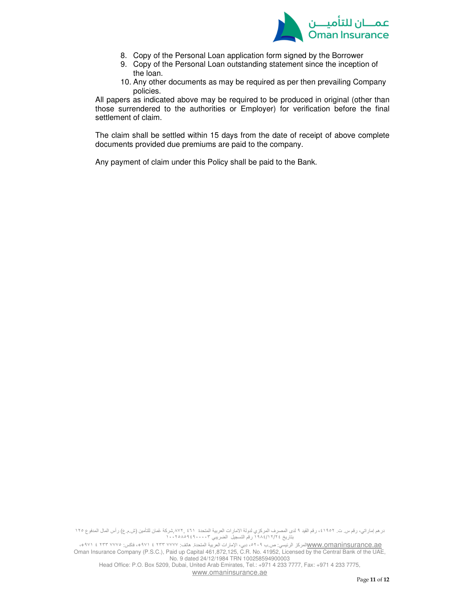

- 8. Copy of the Personal Loan application form signed by the Borrower
- 9. Copy of the Personal Loan outstanding statement since the inception of the loan.
- 10. Any other documents as may be required as per then prevailing Company policies.

All papers as indicated above may be required to be produced in original (other than those surrendered to the authorities or Employer) for verification before the final settlement of claim.

The claim shall be settled within 15 days from the date of receipt of above complete documents provided due premiums are paid to the company.

Any payment of claim under this Policy shall be paid to the Bank.

درهم إماراتي، رقم س. ت. ٤١٩٥٢، رقم القيد ٩ لدى المصرف المركزي لدولة الامارات العربية المتحدة ٤٦١، بشركة عُمان للتأمين (ش.م.ع) رأس المال المدفوع ١٢٥ بتاريخ ٢٤/ ١٢/ ١٩٨٤ رقم التسجيل الضريبي ١٠٠٢٥٨٥٩٤٩٠٠٠٠٣

<u>WWW.omaninsurance.ae المركز الرئيسي: ص.ب ٥</u>٢٠٩، دبي، الإمارات العربية المتحدة. هاتف: ٧٧٧٧ ٢٣٣ ٤ /٩٧١ المسموع بالمتحدة المتحدة بالمتحدة المتحدة المتحدة المتحدة المتحدة المتحدة المتحدة المتحدة المتحدة المتحدة المتحدة المتح Oman Insurance Company (P.S.C.), Paid up Capital 461,872,125, C.R. No. 41952, Licensed by the Central Bank of the UAE, No. 9 dated 24/12/1984 TRN 100258594900003 Head Office: P.O. Box 5209, Dubai, United Arab Emirates, Tel.: +971 4 233 7777, Fax: +971 4 233 7775,